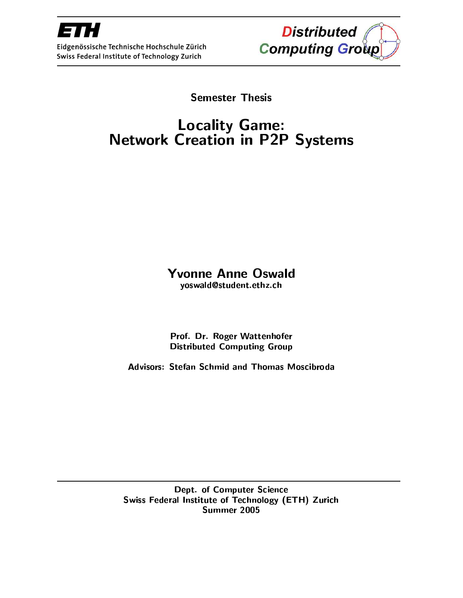

Eidgenössische Technische Hochschule Zürich Swiss Federal Institute of Technology Zurich



**Semester Thesis** 

# Locality Game:<br>Network Creation in P2P Systems

# **Yvonne Anne Oswald**

yoswald@student.ethz.ch

Prof. Dr. Roger Wattenhofer **Distributed Computing Group** 

**Advisors: Stefan Schmid and Thomas Moscibroda** 

Dept. of Computer Science Swiss Federal Institute of Technology (ETH) Zurich Summer 2005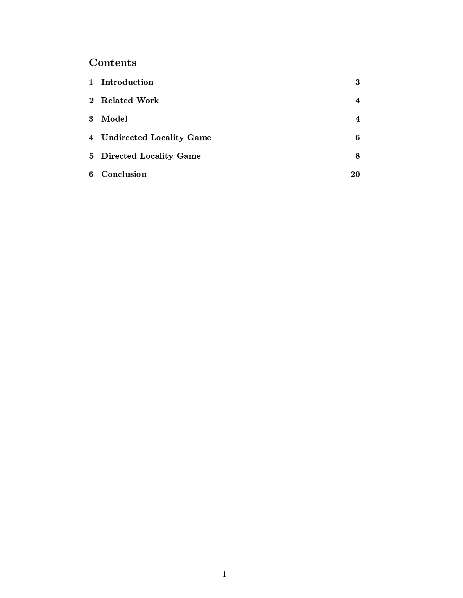# Contents

|          | 1 Introduction             | 3  |
|----------|----------------------------|----|
|          | 2 Related Work             | 4  |
| $\bf{3}$ | Model                      | 4  |
|          | 4 Undirected Locality Game | 6  |
|          | 5 Directed Locality Game   | 8  |
|          | 6 Conclusion               | 20 |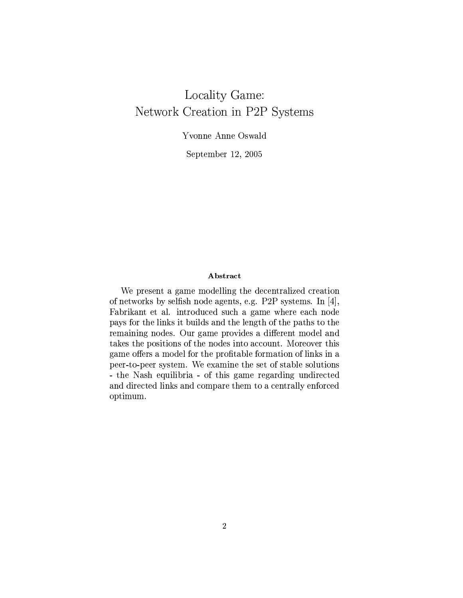# Locality Game: Network Creation in P2P Systems

Yvonne Anne Oswald

September 12, 2005

## Abstract

We present a game modelling the decentralized creation of networks by selfish node agents, e.g. P2P systems. In  $[4]$ , Fabrikant et al. introduced such a game where each node pays for the links it builds and the length of the paths to the remaining nodes. Our game provides a different model and takes the positions of the nodes into account. Moreover this game offers a model for the profitable formation of links in a peer-to-peer system. We examine the set of stable solutions - the Nash equilibria - of this game regarding undirected and directed links and compare them to a centrally enforced optimum.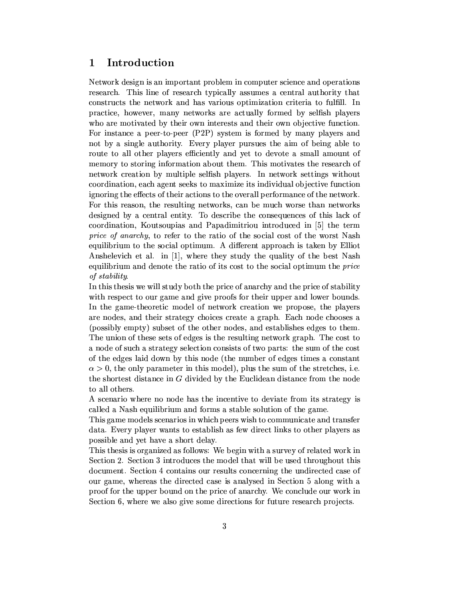#### Introduction 1

Network design is an important problem in computer science and operations research. This line of research typically assumes a central authority that constructs the network and has various optimization criteria to fulfill. In practice, however, many networks are actually formed by selfish players who are motivated by their own interests and their own objective function. For instance a peer-to-peer (P2P) system is formed by many players and not by a single authority. Every player pursues the aim of being able to route to all other players efficiently and yet to devote a small amount of memory to storing information about them. This motivates the research of network creation by multiple selfish players. In network settings without coordination, each agent seeks to maximize its individual objective function ignoring the effects of their actions to the overall performance of the network. For this reason, the resulting networks, can be much worse than networks designed by a central entity. To describe the consequences of this lack of coordination, Koutsoupias and Papadimitriou introduced in [5] the term price of anarchy, to refer to the ratio of the social cost of the worst Nash equilibrium to the social optimum. A different approach is taken by Elliot Anshelevich et al. in [1], where they study the quality of the best Nash equilibrium and denote the ratio of its cost to the social optimum the *price* of stability.

In this thesis we will study both the price of anarchy and the price of stability with respect to our game and give proofs for their upper and lower bounds. In the game-theoretic model of network creation we propose, the players are nodes, and their strategy choices create a graph. Each node chooses a (possibly empty) subset of the other nodes, and establishes edges to them. The union of these sets of edges is the resulting network graph. The cost to a node of such a strategy selection consists of two parts: the sum of the cost of the edges laid down by this node (the number of edges times a constant  $\alpha > 0$ , the only parameter in this model), plus the sum of the stretches, i.e. the shortest distance in G divided by the Euclidean distance from the node to all others.

A scenario where no node has the incentive to deviate from its strategy is called a Nash equilibrium and forms a stable solution of the game.

This game models scenarios in which peers wish to communicate and transfer data. Every player wants to establish as few direct links to other players as possible and yet have a short delay.

This thesis is organized as follows: We begin with a survey of related work in Section 2. Section 3 introduces the model that will be used throughout this document. Section 4 contains our results concerning the undirected case of our game, whereas the directed case is analysed in Section 5 along with a proof for the upper bound on the price of anarchy. We conclude our work in Section 6, where we also give some directions for future research projects.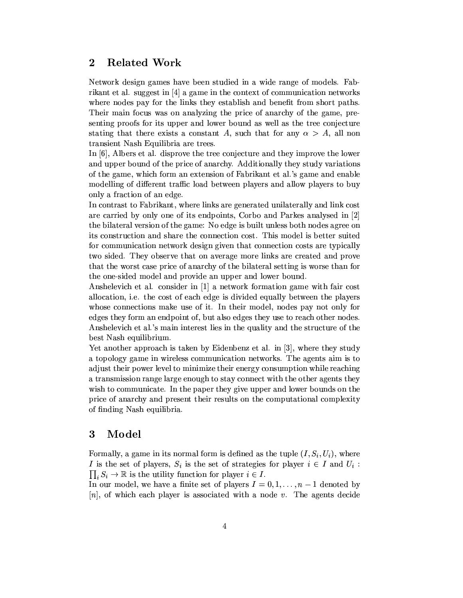#### **Related Work**  $\bf{2}$

Network design games have been studied in a wide range of models. Fabrikant et al. suggest in [4] a game in the context of communication networks where nodes pay for the links they establish and benefit from short paths. Their main focus was on analyzing the price of anarchy of the game, presenting proofs for its upper and lower bound as well as the tree conjecture stating that there exists a constant A, such that for any  $\alpha > A$ , all non transient Nash Equilibria are trees.

In [6], Albers et al. disprove the tree conjecture and they improve the lower and upper bound of the price of anarchy. Additionally they study variations of the game, which form an extension of Fabrikant et al.'s game and enable modelling of different traffic load between players and allow players to buy only a fraction of an edge.

In contrast to Fabrikant, where links are generated unilaterally and link cost are carried by only one of its endpoints, Corbo and Parkes analysed in [2] the bilateral version of the game: No edge is built unless both nodes agree on its construction and share the connection cost. This model is better suited for communication network design given that connection costs are typically two sided. They observe that on average more links are created and prove that the worst case price of anarchy of the bilateral setting is worse than for the one-sided model and provide an upper and lower bound.

Anshelevich et al. consider in [1] a network formation game with fair cost allocation, i.e. the cost of each edge is divided equally between the players whose connections make use of it. In their model, nodes pay not only for edges they form an endpoint of, but also edges they use to reach other nodes. Anshelevich et al.'s main interest lies in the quality and the structure of the best Nash equilibrium.

Yet another approach is taken by Eidenbenz et al. in [3], where they study a topology game in wireless communication networks. The agents aim is to adjust their power level to minimize their energy consumption while reaching a transmission range large enough to stay connect with the other agents they wish to communicate. In the paper they give upper and lower bounds on the price of anarchy and present their results on the computational complexity of finding Nash equilibria.

#### Model 3

Formally, a game in its normal form is defined as the tuple  $(I, S_i, U_i)$ , where I is the set of players,  $S_i$  is the set of strategies for player  $i \in I$  and  $U_i$ :  $\prod_i S_i \to \mathbb{R}$  is the utility function for player  $i \in I$ .

In our model, we have a finite set of players  $I = 0, 1, ..., n - 1$  denoted by [n], of which each player is associated with a node v. The agents decide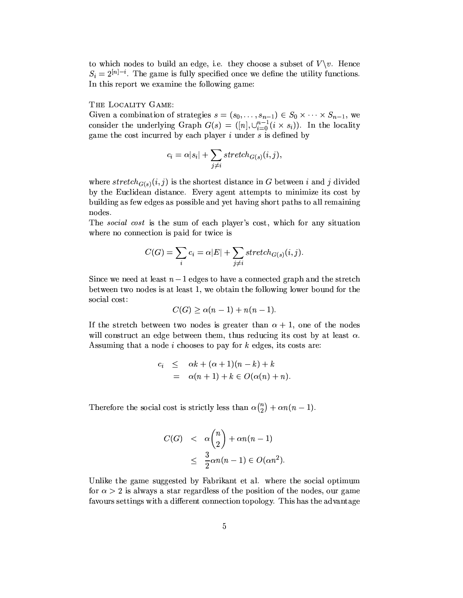to which nodes to build an edge, i.e. they choose a subset of  $V \setminus v$ . Hence  $S_i = 2^{[n]-i}$ . The game is fully specified once we define the utility functions. In this report we examine the following game:

## THE LOCALITY GAME:

Given a combination of strategies  $s = (s_0, \ldots, s_{n-1}) \in S_0 \times \cdots \times S_{n-1}$ , we consider the underlying Graph  $G(s) = ([n], \cup_{i=0}^{n-1} (i \times s_i))$ . In the locality game the cost incurred by each player  $i$  under  $s$  is defined by

$$
c_i = \alpha |s_i| + \sum_{j \neq i} stretch_{G(s)}(i, j),
$$

where  $stretch_{G(s)}(i, j)$  is the shortest distance in G between i and j divided by the Euclidean distance. Every agent attempts to minimize its cost by building as few edges as possible and yet having short paths to all remaining nodes.

The *social cost* is the sum of each player's cost, which for any situation where no connection is paid for twice is

$$
C(G) = \sum_{i} c_i = \alpha |E| + \sum_{j \neq i} stretch_{G(s)}(i, j).
$$

Since we need at least  $n-1$  edges to have a connected graph and the stretch between two nodes is at least 1, we obtain the following lower bound for the social cost:

$$
C(G) \ge \alpha(n-1) + n(n-1).
$$

If the stretch between two nodes is greater than  $\alpha + 1$ , one of the nodes will construct an edge between them, thus reducing its cost by at least  $\alpha$ . Assuming that a node  $i$  chooses to pay for  $k$  edges, its costs are:

$$
c_i \leq \alpha k + (\alpha + 1)(n - k) + k
$$
  
=  $\alpha(n + 1) + k \in O(\alpha(n) + n)$ 

Therefore the social cost is strictly less than  $\alpha \binom{n}{2} + \alpha n(n-1)$ .

$$
C(G) < \alpha \binom{n}{2} + \alpha n(n-1)
$$
\n
$$
\leq \frac{3}{2}\alpha n(n-1) \in O(\alpha n^2)
$$

Unlike the game suggested by Fabrikant et al. where the social optimum for  $\alpha > 2$  is always a star regardless of the position of the nodes, our game favours settings with a different connection topology. This has the advantage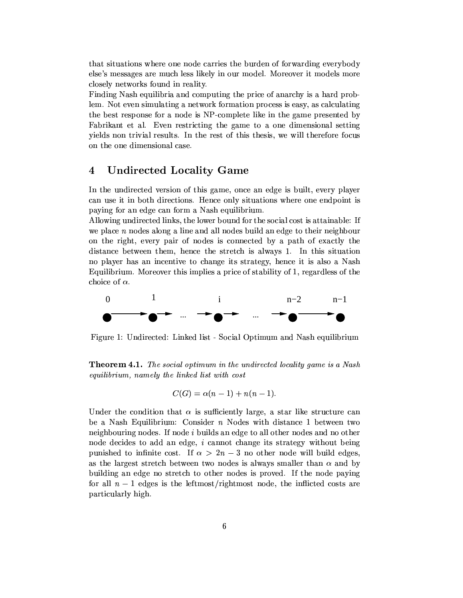that situations where one node carries the burden of forwarding everybody else's messages are much less likely in our model. Moreover it models more closely networks found in reality.

Finding Nash equilibria and computing the price of anarchy is a hard problem. Not even simulating a network formation process is easy, as calculating the best response for a node is NP-complete like in the game presented by Fabrikant et al. Even restricting the game to a one dimensional setting yields non trivial results. In the rest of this thesis, we will therefore focus on the one dimensional case.

#### $\boldsymbol{4}$ **Undirected Locality Game**

In the undirected version of this game, once an edge is built, every player can use it in both directions. Hence only situations where one endpoint is paying for an edge can form a Nash equilibrium.

Allowing undirected links, the lower bound for the social cost is attainable: If we place  $n$  nodes along a line and all nodes build an edge to their neighbour on the right, every pair of nodes is connected by a path of exactly the distance between them, hence the stretch is always 1. In this situation no player has an incentive to change its strategy, hence it is also a Nash Equilibrium. Moreover this implies a price of stability of 1, regardless of the choice of  $\alpha$ .



Figure 1: Undirected: Linked list - Social Optimum and Nash equilibrium

**Theorem 4.1.** The social optimum in the undirected locality game is a Nash equilibrium, namely the linked list with cost

$$
C(G) = \alpha(n-1) + n(n-1).
$$

Under the condition that  $\alpha$  is sufficiently large, a star like structure can be a Nash Equilibrium: Consider  $n$  Nodes with distance 1 between two neighbouring nodes. If node *i* builds an edge to all other nodes and no other node decides to add an edge, i cannot change its strategy without being punished to infinite cost. If  $\alpha > 2n-3$  no other node will build edges, as the largest stretch between two nodes is always smaller than  $\alpha$  and by building an edge no stretch to other nodes is proved. If the node paying for all  $n-1$  edges is the leftmost/rightmost node, the inflicted costs are particularly high.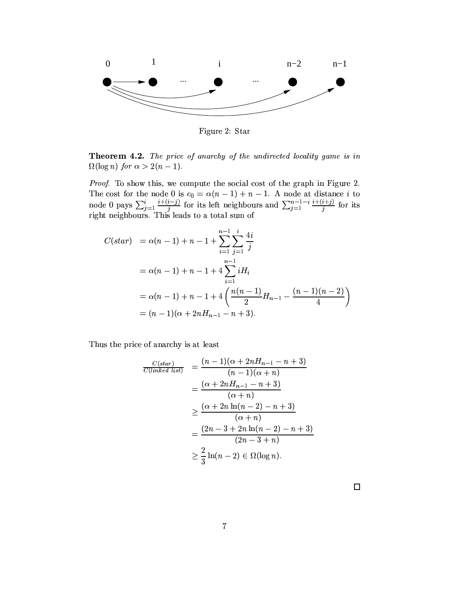

Figure 2: Star

Theorem 4.2. The price of anarchy of the undirected locality game is in  $\Omega(\log n)$  for  $\alpha > 2(n-1)$ .

Proof. To show this, we compute the social cost of the graph in Figure 2. The cost for the node 0 is  $c_0 = \alpha(n-1) + n - 1$ . A node at distance *i* to node 0 pays  $\sum_{j=1}^{i} \frac{i+(i-j)}{j}$  for its left neighbours and  $\sum_{j=1}^{n-1-i} \frac{i+(i+j)}{j}$  for its right neighbours. This leads to a total sum of

$$
C(start) = \alpha(n-1) + n - 1 + \sum_{i=1}^{n-1} \sum_{j=1}^{i} \frac{4i}{j}
$$
  
= \alpha(n-1) + n - 1 + 4 \sum\_{i=1}^{n-1} iH\_i  
= \alpha(n-1) + n - 1 + 4 \left( \frac{n(n-1)}{2} H\_{n-1} - \frac{(n-1)(n-2)}{4} \right)  
= (n-1)(\alpha + 2nH\_{n-1} - n + 3).

Thus the price of anarchy is at least

$$
\frac{C(start)}{C(linked list)} = \frac{(n-1)(\alpha + 2nH_{n-1} - n + 3)}{(n-1)(\alpha + n)} \n= \frac{(\alpha + 2nH_{n-1} - n + 3)}{(\alpha + n)} \n\ge \frac{(\alpha + 2n\ln(n - 2) - n + 3)}{(\alpha + n)} \n= \frac{(2n - 3 + 2n\ln(n - 2) - n + 3)}{(2n - 3 + n)} \n\ge \frac{2}{3}\ln(n - 2) \in \Omega(\log n).
$$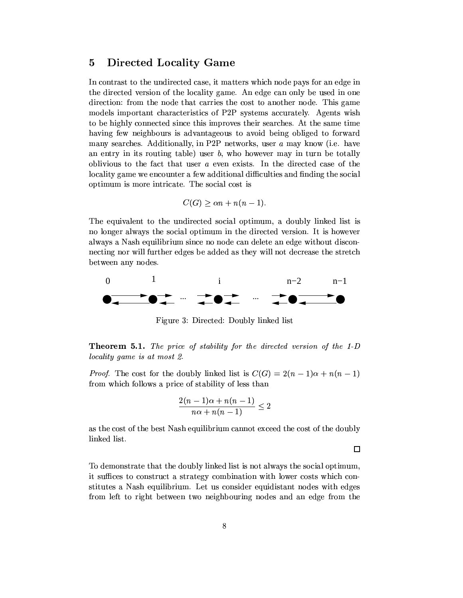#### $\overline{5}$ **Directed Locality Game**

In contrast to the undirected case, it matters which node pays for an edge in the directed version of the locality game. An edge can only be used in one direction: from the node that carries the cost to another node. This game models important characteristics of P2P systems accurately. Agents wish to be highly connected since this improves their searches. At the same time having few neighbours is advantageous to avoid being obliged to forward many searches. Additionally, in P2P networks, user a may know (i.e. have an entry in its routing table) user  $b$ , who however may in turn be totally oblivious to the fact that user  $a$  even exists. In the directed case of the locality game we encounter a few additional difficulties and finding the social optimum is more intricate. The social cost is

$$
C(G) \ge \alpha n + n(n-1).
$$

The equivalent to the undirected social optimum, a doubly linked list is no longer always the social optimum in the directed version. It is however always a Nash equilibrium since no node can delete an edge without disconnecting nor will further edges be added as they will not decrease the stretch between any nodes.



Figure 3: Directed: Doubly linked list

**Theorem 5.1.** The price of stability for the directed version of the 1-D locality game is at most 2.

*Proof.* The cost for the doubly linked list is  $C(G) = 2(n-1)\alpha + n(n-1)$ from which follows a price of stability of less than

$$
\frac{2(n-1)\alpha + n(n-1)}{n\alpha + n(n-1)} \leq 2
$$

as the cost of the best Nash equilibrium cannot exceed the cost of the doubly linked list.

 $\Box$ 

To demonstrate that the doubly linked list is not always the social optimum, it suffices to construct a strategy combination with lower costs which constitutes a Nash equilibrium. Let us consider equidistant nodes with edges from left to right between two neighbouring nodes and an edge from the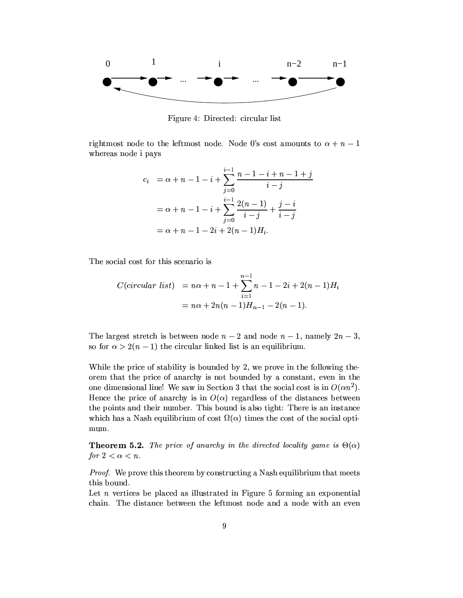

Figure 4: Directed: circular list

rightmost node to the leftmost node. Node 0's cost amounts to  $\alpha + n - 1$ whereas node i pays

$$
c_i = \alpha + n - 1 - i + \sum_{j=0}^{i-1} \frac{n - 1 - i + n - 1 + j}{i - j}
$$
  
=  $\alpha + n - 1 - i + \sum_{j=0}^{i-1} \frac{2(n-1)}{i - j} + \frac{j - i}{i - j}$   
=  $\alpha + n - 1 - 2i + 2(n - 1)H_i$ .

The social cost for this scenario is

$$
C(circular list) = n\alpha + n - 1 + \sum_{i=1}^{n-1} n - 1 - 2i + 2(n - 1)H_i
$$
  
=  $n\alpha + 2n(n - 1)H_{n-1} - 2(n - 1).$ 

The largest stretch is between node  $n-2$  and node  $n-1$ , namely  $2n-3$ , so for  $\alpha > 2(n-1)$  the circular linked list is an equilibrium.

While the price of stability is bounded by 2, we prove in the following theorem that the price of anarchy is not bounded by a constant, even in the one dimensional line! We saw in Section 3 that the social cost is in  $O(\alpha n^2)$ . Hence the price of anarchy is in  $O(\alpha)$  regardless of the distances between the points and their number. This bound is also tight: There is an instance which has a Nash equilibrium of cost  $\Omega(\alpha)$  times the cost of the social optimum.

**Theorem 5.2.** The price of anarchy in the directed locality game is  $\Theta(\alpha)$ for  $2 < \alpha < n$ .

*Proof.* We prove this theorem by constructing a Nash equilibrium that meets this bound.

Let  $n$  vertices be placed as illustrated in Figure 5 forming an exponential chain. The distance between the leftmost node and a node with an even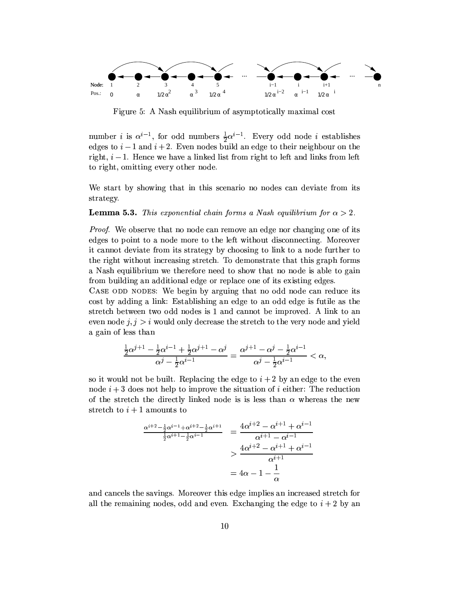

Figure 5: A Nash equilibrium of asymptotically maximal cost

number *i* is  $\alpha^{i-1}$ , for odd numbers  $\frac{1}{2}\alpha^{i-1}$ . Every odd node *i* establishes edges to  $i-1$  and  $i+2$ . Even nodes build an edge to their neighbour on the right,  $i-1$ . Hence we have a linked list from right to left and links from left to right, omitting every other node.

We start by showing that in this scenario no nodes can deviate from its strategy.

## **Lemma 5.3.** This exponential chain forms a Nash equilibrium for  $\alpha > 2$ .

*Proof.* We observe that no node can remove an edge nor changing one of its edges to point to a node more to the left without disconnecting. Moreover it cannot deviate from its strategy by choosing to link to a node further to the right without increasing stretch. To demonstrate that this graph forms a Nash equilibrium we therefore need to show that no node is able to gain from building an additional edge or replace one of its existing edges.

CASE ODD NODES: We begin by arguing that no odd node can reduce its cost by adding a link: Establishing an edge to an odd edge is futile as the stretch between two odd nodes is 1 and cannot be improved. A link to an even node  $j, j > i$  would only decrease the stretch to the very node and yield a gain of less than

$$
\frac{\frac{1}{2}\alpha^{j+1}-\frac{1}{2}\alpha^{i-1}+\frac{1}{2}\alpha^{j+1}-\alpha^j}{\alpha^j-\frac{1}{2}\alpha^{i-1}}=\frac{\alpha^{j+1}-\alpha^j-\frac{1}{2}\alpha^{i-1}}{\alpha^j-\frac{1}{2}\alpha^{i-1}}<\alpha,
$$

so it would not be built. Replacing the edge to  $i + 2$  by an edge to the even node  $i + 3$  does not help to improve the situation of i either: The reduction of the stretch the directly linked node is is less than  $\alpha$  whereas the new stretch to  $i+1$  amounts to

$$
\frac{\frac{\alpha^{i+2}-\frac{1}{2}\alpha^{i-1}+\alpha^{i+2}-\frac{1}{2}\alpha^{i+1}}{\frac{1}{2}\alpha^{i+1}-\frac{1}{2}\alpha^{i-1}}}{\alpha^{i+1}-\alpha^{i-1}} = \frac{4\alpha^{i+2}-\alpha^{i+1}+\alpha^{i-1}}{\alpha^{i+1}-\alpha^{i-1}} \n> \frac{4\alpha^{i+2}-\alpha^{i+1}+\alpha^{i-1}}{\alpha^{i+1}} \n= 4\alpha - 1 - \frac{1}{\alpha}
$$

and cancels the savings. Moreover this edge implies an increased stretch for all the remaining nodes, odd and even. Exchanging the edge to  $i + 2$  by an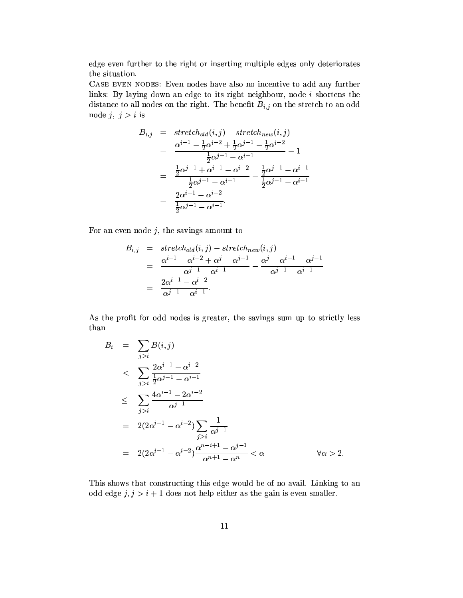edge even further to the right or inserting multiple edges only deteriorates the situation.

CASE EVEN NODES: Even nodes have also no incentive to add any further links: By laying down an edge to its right neighbour, node  $i$  shortens the distance to all nodes on the right. The benefit  $B_{i,j}$  on the stretch to an odd node  $j, j > i$  is

$$
B_{i,j} = \operatorname{stretch}_{old}(i,j) - \operatorname{stretch}_{new}(i,j)
$$
  
= 
$$
\frac{\alpha^{i-1} - \frac{1}{2}\alpha^{i-2} + \frac{1}{2}\alpha^{j-1} - \frac{1}{2}\alpha^{i-2}}{\frac{1}{2}\alpha^{j-1} - \alpha^{i-1}} - 1
$$
  
= 
$$
\frac{\frac{1}{2}\alpha^{j-1} + \alpha^{i-1} - \alpha^{i-2}}{\frac{1}{2}\alpha^{j-1} - \alpha^{i-1}} - \frac{\frac{1}{2}\alpha^{j-1} - \alpha^{i-1}}{\frac{1}{2}\alpha^{j-1} - \alpha^{i-1}}
$$
  
= 
$$
\frac{2\alpha^{i-1} - \alpha^{i-2}}{\frac{1}{2}\alpha^{j-1} - \alpha^{i-1}}.
$$

For an even node  $j$ , the savings amount to

$$
B_{i,j} = \n $stretch_{old}(i, j) - stretch_{new}(i, j)$ \n
$$
= \frac{\alpha^{i-1} - \alpha^{i-2} + \alpha^j - \alpha^{j-1}}{\alpha^{j-1} - \alpha^{i-1}} - \frac{\alpha^j - \alpha^{i-1} - \alpha^{j-1}}{\alpha^{j-1} - \alpha^{i-1}}
$$
\n
$$
= \frac{2\alpha^{i-1} - \alpha^{i-2}}{\alpha^{j-1} - \alpha^{i-1}}.
$$
$$

As the profit for odd nodes is greater, the savings sum up to strictly less than

$$
B_{i} = \sum_{j>i} B(i,j)
$$
  
\n
$$
< \sum_{j>i} \frac{2\alpha^{i-1} - \alpha^{i-2}}{\frac{1}{2}\alpha^{j-1} - \alpha^{i-1}}
$$
  
\n
$$
\leq \sum_{j>i} \frac{4\alpha^{i-1} - 2\alpha^{i-2}}{\alpha^{j-1}}
$$
  
\n
$$
= 2(2\alpha^{i-1} - \alpha^{i-2}) \sum_{j>i} \frac{1}{\alpha^{j-1}}
$$
  
\n
$$
= 2(2\alpha^{i-1} - \alpha^{i-2}) \frac{\alpha^{n-i+1} - \alpha^{j-1}}{\alpha^{n+1} - \alpha^n} < \alpha \qquad \forall \alpha > 2.
$$

This shows that constructing this edge would be of no avail. Linking to an odd edge  $j, j > i + 1$  does not help either as the gain is even smaller.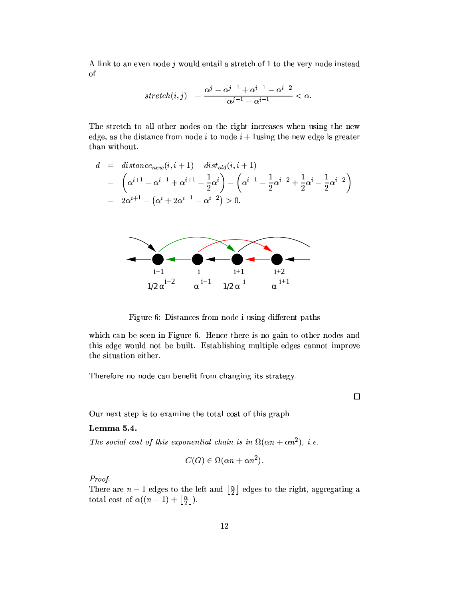A link to an even node  $j$  would entail a stretch of 1 to the very node instead <sub>of</sub>

$$
stretch(i,j) = \frac{\alpha^j - \alpha^{j-1} + \alpha^{i-1} - \alpha^{i-2}}{\alpha^{j-1} - \alpha^{i-1}} < \alpha.
$$

The stretch to all other nodes on the right increases when using the new edge, as the distance from node i to node  $i + 1$  using the new edge is greater than without.

$$
d = distance_{new}(i, i + 1) - dist_{old}(i, i + 1)
$$
  
=  $\left(\alpha^{i+1} - \alpha^{i-1} + \alpha^{i+1} - \frac{1}{2}\alpha^i\right) - \left(\alpha^{i-1} - \frac{1}{2}\alpha^{i-2} + \frac{1}{2}\alpha^i - \frac{1}{2}\alpha^{i-2}\right)$   
=  $2\alpha^{i+1} - \left(\alpha^i + 2\alpha^{i-1} - \alpha^{i-2}\right) > 0.$ 



Figure 6: Distances from node i using different paths

which can be seen in Figure 6. Hence there is no gain to other nodes and this edge would not be built. Establishing multiple edges cannot improve the situation either.

Therefore no node can benefit from changing its strategy.

Our next step is to examine the total cost of this graph

## Lemma 5.4.

The social cost of this exponential chain is in  $\Omega(\alpha n + \alpha n^2)$ , i.e.

$$
C(G) \in \Omega(\alpha n + \alpha n^2).
$$

Proof.

There are  $n-1$  edges to the left and  $\lfloor \frac{n}{2} \rfloor$  edges to the right, aggregating a total cost of  $\alpha((n-1)+\left\lfloor \frac{n}{2} \right\rfloor)$ .

 $\Box$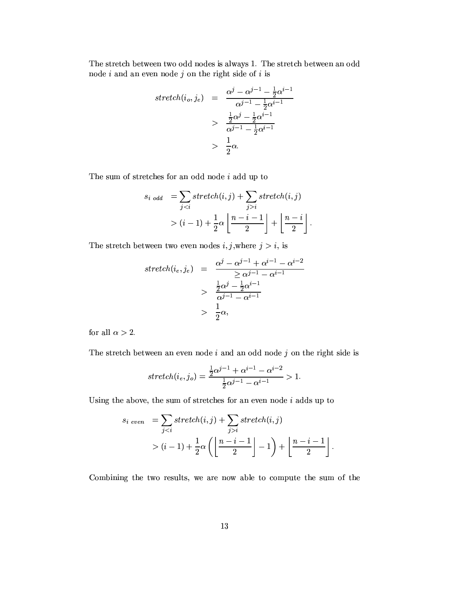The stretch between two odd nodes is always 1. The stretch between an odd node  $i$  and an even node  $j$  on the right side of  $i$  is

$$
stretch(i_o, j_e) = \frac{\alpha^j - \alpha^{j-1} - \frac{1}{2}\alpha^{i-1}}{\alpha^{j-1} - \frac{1}{2}\alpha^{i-1}}
$$

$$
> \frac{\frac{1}{2}\alpha^j - \frac{1}{2}\alpha^{i-1}}{\alpha^{j-1} - \frac{1}{2}\alpha^{i-1}}
$$

$$
> \frac{1}{2}\alpha.
$$

The sum of stretches for an odd node  $i$  add up to

$$
s_{i \text{ odd}} = \sum_{j < i} stretch(i, j) + \sum_{j > i} stretch(i, j)
$$
\n
$$
> (i - 1) + \frac{1}{2}\alpha \left\lfloor \frac{n - i - 1}{2} \right\rfloor + \left\lfloor \frac{n - i}{2} \right\rfloor.
$$

The stretch between two even nodes  $i, j$ , where  $j > i$ , is

$$
stretch(i_e, j_e) = \frac{\alpha^j - \alpha^{j-1} + \alpha^{i-1} - \alpha^{i-2}}{\geq \alpha^{j-1} - \alpha^{i-1}}
$$

$$
> \frac{\frac{1}{2}\alpha^j - \frac{1}{2}\alpha^{i-1}}{\alpha^{j-1} - \alpha^{i-1}}
$$

$$
> \frac{1}{2}\alpha,
$$

for all  $\alpha > 2$ .

The stretch between an even node  $i$  and an odd node  $j$  on the right side is

$$
stretch(i_e, j_o) = \frac{\frac{1}{2}\alpha^{j-1} + \alpha^{i-1} - \alpha^{i-2}}{\frac{1}{2}\alpha^{j-1} - \alpha^{i-1}} > 1.
$$

Using the above, the sum of stretches for an even node  $i$  adds up to

$$
s_i \text{ even } = \sum_{j < i} stretch(i, j) + \sum_{j > i} stretch(i, j)
$$
\n
$$
> (i - 1) + \frac{1}{2}\alpha \left( \left\lfloor \frac{n - i - 1}{2} \right\rfloor - 1 \right) + \left\lfloor \frac{n - i - 1}{2} \right\rfloor.
$$

Combining the two results, we are now able to compute the sum of the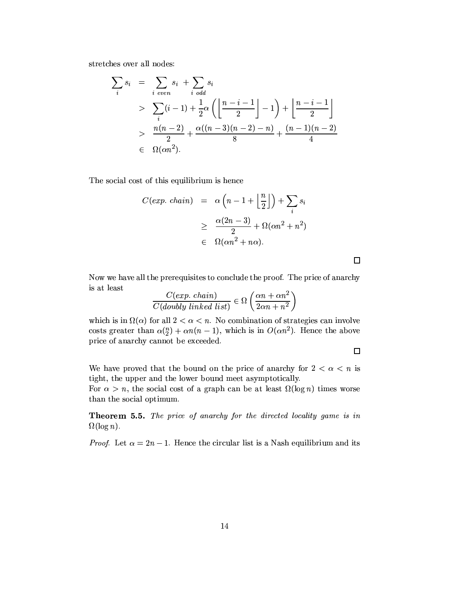stretches over all nodes:

$$
\sum_{i} s_{i} = \sum_{i \text{ even}} s_{i} + \sum_{i \text{ odd}} s_{i}
$$
\n
$$
> \sum_{i} (i - 1) + \frac{1}{2} \alpha \left( \left\lfloor \frac{n - i - 1}{2} \right\rfloor - 1 \right) + \left\lfloor \frac{n - i - 1}{2} \right\rfloor
$$
\n
$$
> \frac{n(n - 2)}{2} + \frac{\alpha((n - 3)(n - 2) - n)}{8} + \frac{(n - 1)(n - 2)}{4}
$$
\n
$$
\in \Omega(\alpha n^{2}).
$$

The social cost of this equilibrium is hence

$$
C(exp. \text{ chain}) = \alpha \left( n - 1 + \left\lfloor \frac{n}{2} \right\rfloor \right) + \sum_{i} s_i
$$

$$
\geq \frac{\alpha (2n - 3)}{2} + \Omega(\alpha n^2 + n^2)
$$

$$
\in \Omega(\alpha n^2 + n\alpha).
$$

Now we have all the prerequisites to conclude the proof. The price of anarchy is at least

$$
\frac{C(exp. \ chain)}{C(doubly \ linked \ list)} \in \Omega\left(\frac{\alpha n + \alpha n^2}{2\alpha n + n^2}\right)
$$

which is in  $\Omega(\alpha)$  for all  $2 < \alpha < n$ . No combination of strategies can involve costs greater than  $\alpha_{2}^{(n)} + \alpha n(n-1)$ , which is in  $O(\alpha n^2)$ . Hence the above price of anarchy cannot be exceeded.

 $\Box$ 

We have proved that the bound on the price of anarchy for  $2 < \alpha < n$  is tight, the upper and the lower bound meet asymptotically.

For  $\alpha > n$ , the social cost of a graph can be at least  $\Omega(\log n)$  times worse than the social optimum.

Theorem 5.5. The price of anarchy for the directed locality game is in  $\Omega(\log n)$ .

*Proof.* Let  $\alpha = 2n - 1$ . Hence the circular list is a Nash equilibrium and its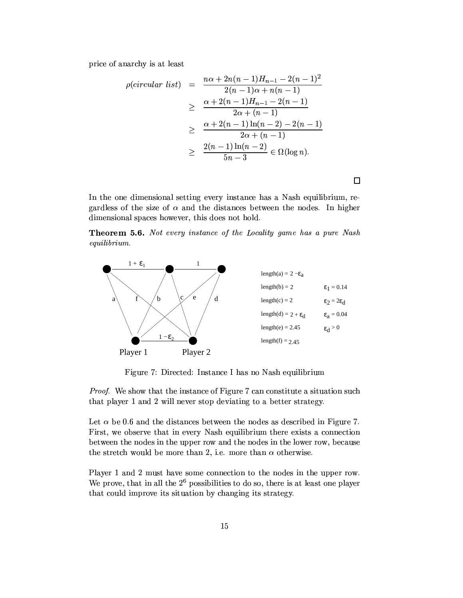price of anarchy is at least

$$
\rho(circular list) = \frac{n\alpha + 2n(n-1)H_{n-1} - 2(n-1)^2}{2(n-1)\alpha + n(n-1)} \\
\geq \frac{\alpha + 2(n-1)H_{n-1} - 2(n-1)}{2\alpha + (n-1)} \\
\geq \frac{\alpha + 2(n-1)\ln(n-2) - 2(n-1)}{2\alpha + (n-1)} \\
\geq \frac{2(n-1)\ln(n-2)}{5n-3} \in \Omega(\log n).
$$

In the one dimensional setting every instance has a Nash equilibrium, regardless of the size of  $\alpha$  and the distances between the nodes. In higher dimensional spaces however, this does not hold.

**Theorem 5.6.** Not every instance of the Locality game has a pure Nash  $equilibrium.$ 



Figure 7: Directed: Instance I has no Nash equilibrium

*Proof.* We show that the instance of Figure 7 can constitute a situation such that player 1 and 2 will never stop deviating to a better strategy.

Let  $\alpha$  be 0.6 and the distances between the nodes as described in Figure 7. First, we observe that in every Nash equilibrium there exists a connection between the nodes in the upper row and the nodes in the lower row, because the stretch would be more than 2, i.e. more than  $\alpha$  otherwise.

Player 1 and 2 must have some connection to the nodes in the upper row. We prove, that in all the  $2^6$  possibilities to do so, there is at least one player that could improve its situation by changing its strategy.

 $\Box$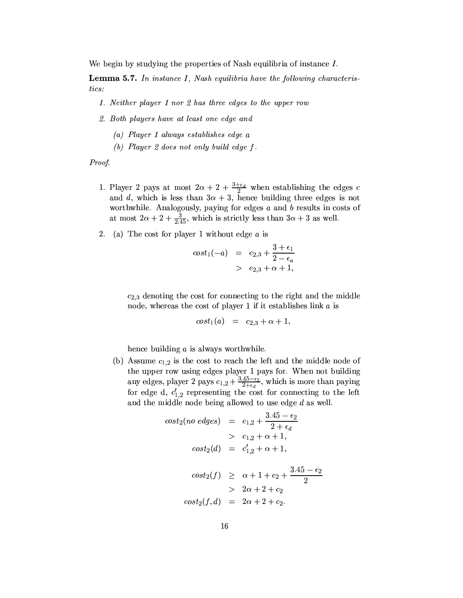We begin by studying the properties of Nash equilibria of instance  $I$ .

**Lemma 5.7.** In instance I, Nash equilibria have the following characteristics:

- 1. Neither player 1 nor 2 has three edges to the upper row
- 2. Both players have at least one edge and
	- (a) Player 1 always establishes edge  $a$
	- (b) Player 2 does not only build edge  $f$ .

Proof.

- 1. Player 2 pays at most  $2\alpha + 2 + \frac{3+\epsilon_d}{2}$  when establishing the edges c and d, which is less than  $3\alpha + 3$ , hence building three edges is not worthwhile. Analogously, paying for edges  $a$  and  $b$  results in costs of at most  $2\alpha + 2 + \frac{3}{2.45}$ , which is strictly less than  $3\alpha + 3$  as well.
- 2. (a) The cost for player 1 without edge  $a$  is

$$
cost1(-a) = c2,3 + \frac{3 + \epsilon_1}{2 - \epsilon_a}
$$
  
> c<sub>2,3</sub> + \alpha + 1,

 $c_{2,3}$  denoting the cost for connecting to the right and the middle node, whereas the cost of player 1 if it establishes link  $a$  is

$$
cost_1(a) = c_{2,3} + \alpha + 1,
$$

hence building  $a$  is always worthwhile.

(b) Assume  $c_{1,2}$  is the cost to reach the left and the middle node of the upper row using edges player 1 pays for. When not building<br>any edges, player 2 pays  $c_{1,2} + \frac{3.45 - \epsilon_2}{2 + \epsilon_d}$ , which is more than paying for edge d,  $c'_{1,2}$  representing the cost for connecting to the left and the middle node being allowed to use edge  $d$  as well.

$$
cost_2(no \, edges) = c_{1,2} + \frac{3.45 - \epsilon_2}{2 + \epsilon_d}
$$
  
>  $c_{1,2} + \alpha + 1$ ,  

$$
cost_2(d) = c'_{1,2} + \alpha + 1
$$
,  

$$
cost_2(f) \ge \alpha + 1 + c_2 + \frac{3.45 - \epsilon_2}{2}
$$
  
>  $2\alpha + 2 + c_2$   

$$
cost_2(f, d) = 2\alpha + 2 + c_2.
$$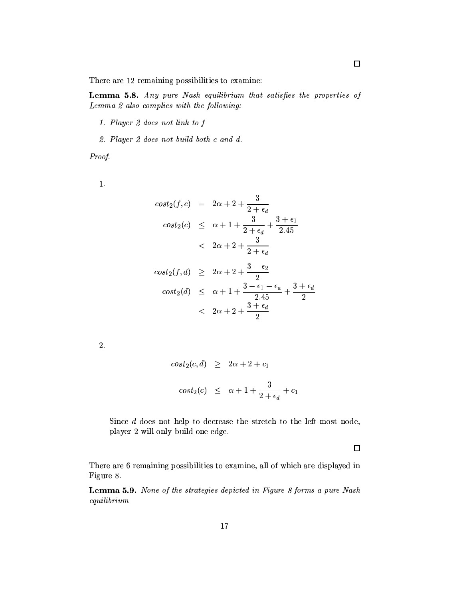There are 12 remaining possibilities to examine:

Lemma 5.8. Any pure Nash equilibrium that satisfies the properties of Lemma 2 also complies with the following:

- 1. Player 2 does not link to f
- 2. Player 2 does not build both c and d.

Proof.

 $1.$ 

$$
cost_2(f, c) = 2\alpha + 2 + \frac{3}{2 + \epsilon_d}
$$
  
\n
$$
cost_2(c) \le \alpha + 1 + \frac{3}{2 + \epsilon_d} + \frac{3 + \epsilon_1}{2.45}
$$
  
\n
$$
< 2\alpha + 2 + \frac{3}{2 + \epsilon_d}
$$
  
\n
$$
cost_2(f, d) \ge 2\alpha + 2 + \frac{3 - \epsilon_2}{2}
$$
  
\n
$$
cost_2(d) \le \alpha + 1 + \frac{3 - \epsilon_1 - \epsilon_a}{2.45} + \frac{3 + \epsilon_d}{2}
$$
  
\n
$$
< 2\alpha + 2 + \frac{3 + \epsilon_d}{2}
$$

 $2.$ 

$$
cost_2(c,d) \ge 2\alpha + 2 + c_1
$$
  

$$
cost_2(c) \le \alpha + 1 + \frac{3}{2 + \epsilon_d} + c_1
$$

Since  $d$  does not help to decrease the stretch to the left-most node, player 2 will only build one edge.

 $\Box$ 

There are 6 remaining possibilities to examine, all of which are displayed in Figure 8.

Lemma 5.9. None of the strategies depicted in Figure 8 forms a pure Nash  $equilibrium$ 

 $\Box$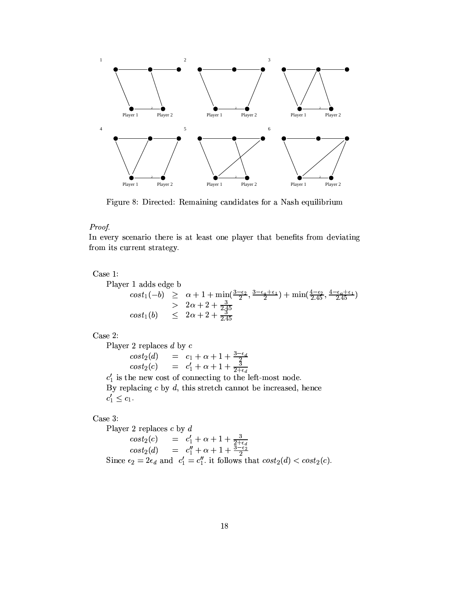

Figure 8: Directed: Remaining candidates for a Nash equilibrium

# Proof.

In every scenario there is at least one player that benefits from deviating from its current strategy.

Case 1:

Player 1 adds edge b

$$
\begin{array}{rcl}\n\cos t_1(-b) & \geq & \alpha + 1 + \min\left(\frac{3 - \epsilon_2}{2}, \frac{3 - \epsilon_4 + \epsilon_1}{2}\right) + \min\left(\frac{4 - \epsilon_2}{2.45}, \frac{4 - \epsilon_4 + \epsilon_1}{2.45}\right) \\
& > & 2\alpha + 2 + \frac{3}{2.45} \\
\cos t_1(b) & \leq & 2\alpha + 2 + \frac{3}{2.45}\n\end{array}
$$

Case 2:

Player 2 replaces d by c<br>  $cost_2(d) = c_1 + \alpha + 1 + \frac{3-\epsilon_d}{2}$ <br>  $cost_2(c) = c'_1 + \alpha + 1 + \frac{3}{2+\epsilon_d}$ <br>  $c'_1$  is the new cost of connecting to the left-most node.

By replacing  $c$  by  $d$ , this stretch cannot be increased, hence  $c'_1 \leq c_1$ .

Case 3:

Player 2 replaces  $c$  by  $d$ cost<sub>2</sub>(c) =  $c'_1 + \alpha + 1 + \frac{3}{2 + \epsilon_d}$ <br>
cost<sub>2</sub>(d) =  $c''_1 + \alpha + 1 + \frac{3 - \epsilon_2}{2}$ <br>
Since  $\epsilon_2 = 2\epsilon_d$  and  $c'_1 = c''_1$ . it follows that  $cost_2(d) < cost_2(c)$ .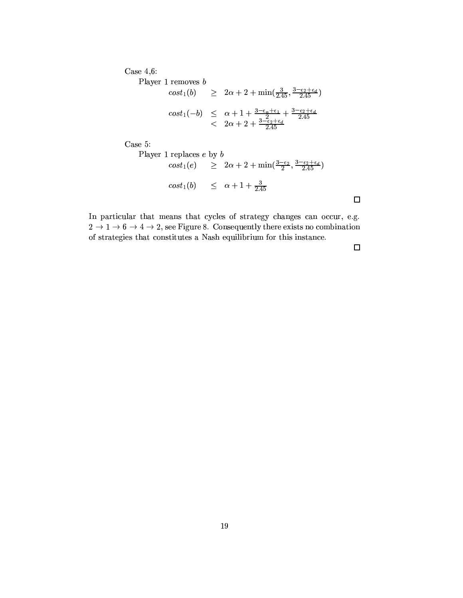Case  $4,6$ :

Player 1 removes  $\boldsymbol{b}$ 

$$
cost_1(b) \ge 2\alpha + 2 + \min(\frac{3}{2.45}, \frac{3 - \epsilon_2 + \epsilon_4}{2.45})
$$
  

$$
cost_1(-b) \le \alpha + 1 + \frac{3 - \epsilon_4 + \epsilon_1}{2} + \frac{3 - \epsilon_2 + \epsilon_4}{2.45}
$$
  

$$
< 2\alpha + 2 + \frac{3 - \epsilon_2 + \epsilon_4}{2.45}
$$

Case  $5$ :

Player 1 replaces *e* by *b*  
\n
$$
cost_1(e) \geq 2\alpha + 2 + \min(\frac{3-\epsilon_2}{2}, \frac{3-\epsilon_2+\epsilon_d}{2.45})
$$
\n
$$
cost_1(b) \leq \alpha + 1 + \frac{3}{2.45}
$$

In particular that means that cycles of strategy changes can occur, e.g.  $2 \rightarrow 1 \rightarrow 6 \rightarrow 4 \rightarrow 2$ , see Figure 8. Consequently there exists no combination of strategies that constitutes a Nash equilibrium for this instance.

 $\Box$ 

 $\Box$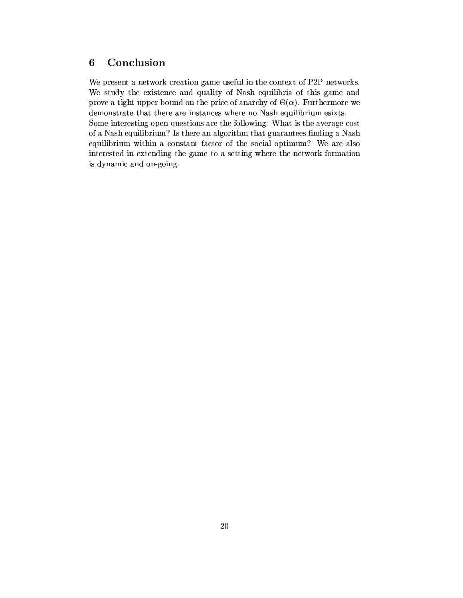### Conclusion  $\boldsymbol{6}$

We present a network creation game useful in the context of P2P networks. We study the existence and quality of Nash equilibria of this game and prove a tight upper bound on the price of anarchy of  $\Theta(\alpha)$ . Furthermore we demonstrate that there are instances where no Nash equilibrium esixts.

Some interesting open questions are the following: What is the average cost of a Nash equilibrium? Is there an algorithm that guarantees finding a Nash equilibrium within a constant factor of the social optimum? We are also interested in extending the game to a setting where the network formation is dynamic and on-going.